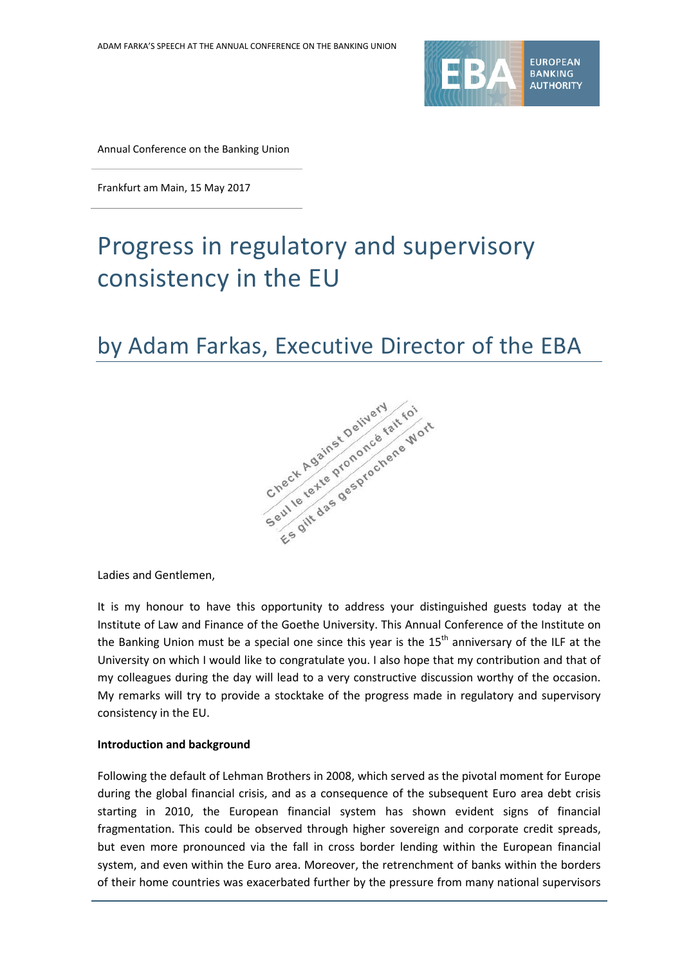

Annual Conference on the Banking Union

Frankfurt am Main, 15 May 2017

# Progress in regulatory and supervisory consistency in the EU



Ladies and Gentlemen,

It is my honour to have this opportunity to address your distinguished guests today at the Institute of Law and Finance of the Goethe University. This Annual Conference of the Institute on the Banking Union must be a special one since this year is the  $15<sup>th</sup>$  anniversary of the ILF at the University on which I would like to congratulate you. I also hope that my contribution and that of my colleagues during the day will lead to a very constructive discussion worthy of the occasion. My remarks will try to provide a stocktake of the progress made in regulatory and supervisory consistency in the EU.

### **Introduction and background**

Following the default of Lehman Brothers in 2008, which served as the pivotal moment for Europe during the global financial crisis, and as a consequence of the subsequent Euro area debt crisis starting in 2010, the European financial system has shown evident signs of financial fragmentation. This could be observed through higher sovereign and corporate credit spreads, but even more pronounced via the fall in cross border lending within the European financial system, and even within the Euro area. Moreover, the retrenchment of banks within the borders of their home countries was exacerbated further by the pressure from many national supervisors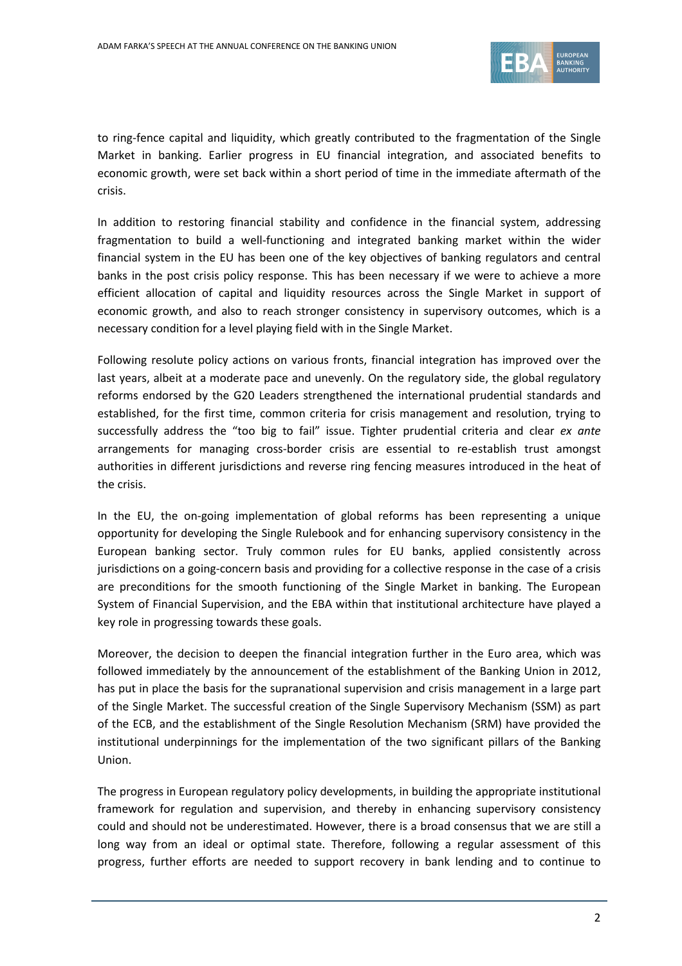

to ring-fence capital and liquidity, which greatly contributed to the fragmentation of the Single Market in banking. Earlier progress in EU financial integration, and associated benefits to economic growth, were set back within a short period of time in the immediate aftermath of the crisis.

In addition to restoring financial stability and confidence in the financial system, addressing fragmentation to build a well-functioning and integrated banking market within the wider financial system in the EU has been one of the key objectives of banking regulators and central banks in the post crisis policy response. This has been necessary if we were to achieve a more efficient allocation of capital and liquidity resources across the Single Market in support of economic growth, and also to reach stronger consistency in supervisory outcomes, which is a necessary condition for a level playing field with in the Single Market.

Following resolute policy actions on various fronts, financial integration has improved over the last years, albeit at a moderate pace and unevenly. On the regulatory side, the global regulatory reforms endorsed by the G20 Leaders strengthened the international prudential standards and established, for the first time, common criteria for crisis management and resolution, trying to successfully address the "too big to fail" issue. Tighter prudential criteria and clear *ex ante* arrangements for managing cross-border crisis are essential to re-establish trust amongst authorities in different jurisdictions and reverse ring fencing measures introduced in the heat of the crisis.

In the EU, the on-going implementation of global reforms has been representing a unique opportunity for developing the Single Rulebook and for enhancing supervisory consistency in the European banking sector. Truly common rules for EU banks, applied consistently across jurisdictions on a going-concern basis and providing for a collective response in the case of a crisis are preconditions for the smooth functioning of the Single Market in banking. The European System of Financial Supervision, and the EBA within that institutional architecture have played a key role in progressing towards these goals.

Moreover, the decision to deepen the financial integration further in the Euro area, which was followed immediately by the announcement of the establishment of the Banking Union in 2012, has put in place the basis for the supranational supervision and crisis management in a large part of the Single Market. The successful creation of the Single Supervisory Mechanism (SSM) as part of the ECB, and the establishment of the Single Resolution Mechanism (SRM) have provided the institutional underpinnings for the implementation of the two significant pillars of the Banking Union.

The progress in European regulatory policy developments, in building the appropriate institutional framework for regulation and supervision, and thereby in enhancing supervisory consistency could and should not be underestimated. However, there is a broad consensus that we are still a long way from an ideal or optimal state. Therefore, following a regular assessment of this progress, further efforts are needed to support recovery in bank lending and to continue to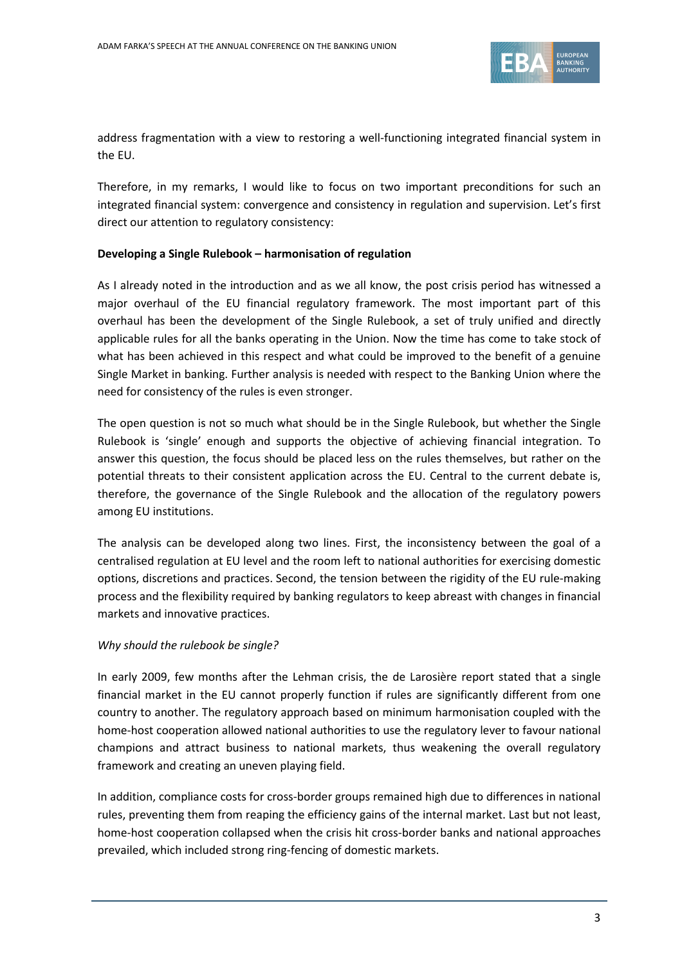

address fragmentation with a view to restoring a well-functioning integrated financial system in the EU.

Therefore, in my remarks, I would like to focus on two important preconditions for such an integrated financial system: convergence and consistency in regulation and supervision. Let's first direct our attention to regulatory consistency:

# **Developing a Single Rulebook – harmonisation of regulation**

As I already noted in the introduction and as we all know, the post crisis period has witnessed a major overhaul of the EU financial regulatory framework. The most important part of this overhaul has been the development of the Single Rulebook, a set of truly unified and directly applicable rules for all the banks operating in the Union. Now the time has come to take stock of what has been achieved in this respect and what could be improved to the benefit of a genuine Single Market in banking. Further analysis is needed with respect to the Banking Union where the need for consistency of the rules is even stronger.

The open question is not so much what should be in the Single Rulebook, but whether the Single Rulebook is 'single' enough and supports the objective of achieving financial integration. To answer this question, the focus should be placed less on the rules themselves, but rather on the potential threats to their consistent application across the EU. Central to the current debate is, therefore, the governance of the Single Rulebook and the allocation of the regulatory powers among EU institutions.

The analysis can be developed along two lines. First, the inconsistency between the goal of a centralised regulation at EU level and the room left to national authorities for exercising domestic options, discretions and practices. Second, the tension between the rigidity of the EU rule-making process and the flexibility required by banking regulators to keep abreast with changes in financial markets and innovative practices.

# *Why should the rulebook be single?*

In early 2009, few months after the Lehman crisis, the de Larosière report stated that a single financial market in the EU cannot properly function if rules are significantly different from one country to another. The regulatory approach based on minimum harmonisation coupled with the home-host cooperation allowed national authorities to use the regulatory lever to favour national champions and attract business to national markets, thus weakening the overall regulatory framework and creating an uneven playing field.

In addition, compliance costs for cross-border groups remained high due to differences in national rules, preventing them from reaping the efficiency gains of the internal market. Last but not least, home-host cooperation collapsed when the crisis hit cross-border banks and national approaches prevailed, which included strong ring-fencing of domestic markets.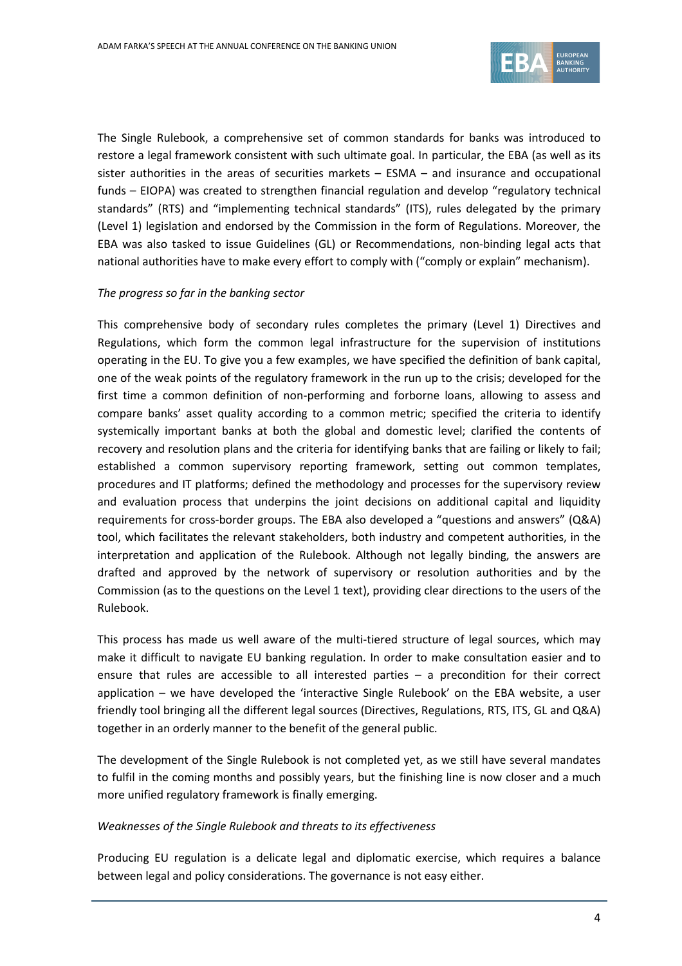

The Single Rulebook, a comprehensive set of common standards for banks was introduced to restore a legal framework consistent with such ultimate goal. In particular, the EBA (as well as its sister authorities in the areas of securities markets – ESMA – and insurance and occupational funds – EIOPA) was created to strengthen financial regulation and develop "regulatory technical standards" (RTS) and "implementing technical standards" (ITS), rules delegated by the primary (Level 1) legislation and endorsed by the Commission in the form of Regulations. Moreover, the EBA was also tasked to issue Guidelines (GL) or Recommendations, non-binding legal acts that national authorities have to make every effort to comply with ("comply or explain" mechanism).

# *The progress so far in the banking sector*

This comprehensive body of secondary rules completes the primary (Level 1) Directives and Regulations, which form the common legal infrastructure for the supervision of institutions operating in the EU. To give you a few examples, we have specified the definition of bank capital, one of the weak points of the regulatory framework in the run up to the crisis; developed for the first time a common definition of non-performing and forborne loans, allowing to assess and compare banks' asset quality according to a common metric; specified the criteria to identify systemically important banks at both the global and domestic level; clarified the contents of recovery and resolution plans and the criteria for identifying banks that are failing or likely to fail; established a common supervisory reporting framework, setting out common templates, procedures and IT platforms; defined the methodology and processes for the supervisory review and evaluation process that underpins the joint decisions on additional capital and liquidity requirements for cross-border groups. The EBA also developed a "questions and answers" (Q&A) tool, which facilitates the relevant stakeholders, both industry and competent authorities, in the interpretation and application of the Rulebook. Although not legally binding, the answers are drafted and approved by the network of supervisory or resolution authorities and by the Commission (as to the questions on the Level 1 text), providing clear directions to the users of the Rulebook.

This process has made us well aware of the multi-tiered structure of legal sources, which may make it difficult to navigate EU banking regulation. In order to make consultation easier and to ensure that rules are accessible to all interested parties  $-$  a precondition for their correct application – we have developed the 'interactive Single Rulebook' on the EBA website, a user friendly tool bringing all the different legal sources (Directives, Regulations, RTS, ITS, GL and Q&A) together in an orderly manner to the benefit of the general public.

The development of the Single Rulebook is not completed yet, as we still have several mandates to fulfil in the coming months and possibly years, but the finishing line is now closer and a much more unified regulatory framework is finally emerging.

# *Weaknesses of the Single Rulebook and threats to its effectiveness*

Producing EU regulation is a delicate legal and diplomatic exercise, which requires a balance between legal and policy considerations. The governance is not easy either.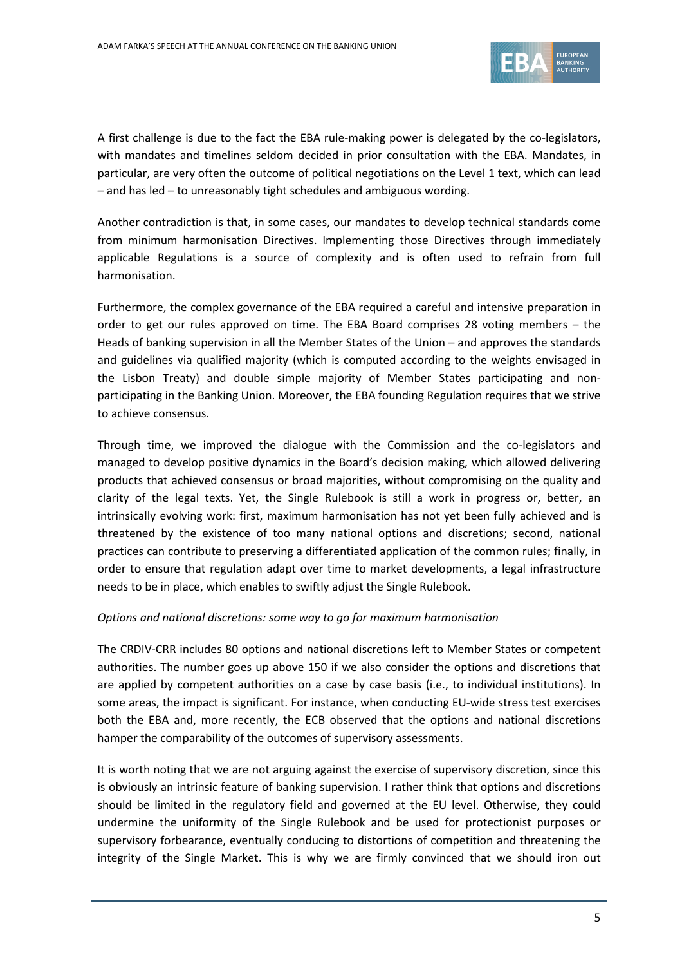

A first challenge is due to the fact the EBA rule-making power is delegated by the co-legislators, with mandates and timelines seldom decided in prior consultation with the EBA. Mandates, in particular, are very often the outcome of political negotiations on the Level 1 text, which can lead – and has led – to unreasonably tight schedules and ambiguous wording.

Another contradiction is that, in some cases, our mandates to develop technical standards come from minimum harmonisation Directives. Implementing those Directives through immediately applicable Regulations is a source of complexity and is often used to refrain from full harmonisation.

Furthermore, the complex governance of the EBA required a careful and intensive preparation in order to get our rules approved on time. The EBA Board comprises 28 voting members – the Heads of banking supervision in all the Member States of the Union – and approves the standards and guidelines via qualified majority (which is computed according to the weights envisaged in the Lisbon Treaty) and double simple majority of Member States participating and nonparticipating in the Banking Union. Moreover, the EBA founding Regulation requires that we strive to achieve consensus.

Through time, we improved the dialogue with the Commission and the co-legislators and managed to develop positive dynamics in the Board's decision making, which allowed delivering products that achieved consensus or broad majorities, without compromising on the quality and clarity of the legal texts. Yet, the Single Rulebook is still a work in progress or, better, an intrinsically evolving work: first, maximum harmonisation has not yet been fully achieved and is threatened by the existence of too many national options and discretions; second, national practices can contribute to preserving a differentiated application of the common rules; finally, in order to ensure that regulation adapt over time to market developments, a legal infrastructure needs to be in place, which enables to swiftly adjust the Single Rulebook.

# *Options and national discretions: some way to go for maximum harmonisation*

The CRDIV-CRR includes 80 options and national discretions left to Member States or competent authorities. The number goes up above 150 if we also consider the options and discretions that are applied by competent authorities on a case by case basis (i.e., to individual institutions). In some areas, the impact is significant. For instance, when conducting EU-wide stress test exercises both the EBA and, more recently, the ECB observed that the options and national discretions hamper the comparability of the outcomes of supervisory assessments.

It is worth noting that we are not arguing against the exercise of supervisory discretion, since this is obviously an intrinsic feature of banking supervision. I rather think that options and discretions should be limited in the regulatory field and governed at the EU level. Otherwise, they could undermine the uniformity of the Single Rulebook and be used for protectionist purposes or supervisory forbearance, eventually conducing to distortions of competition and threatening the integrity of the Single Market. This is why we are firmly convinced that we should iron out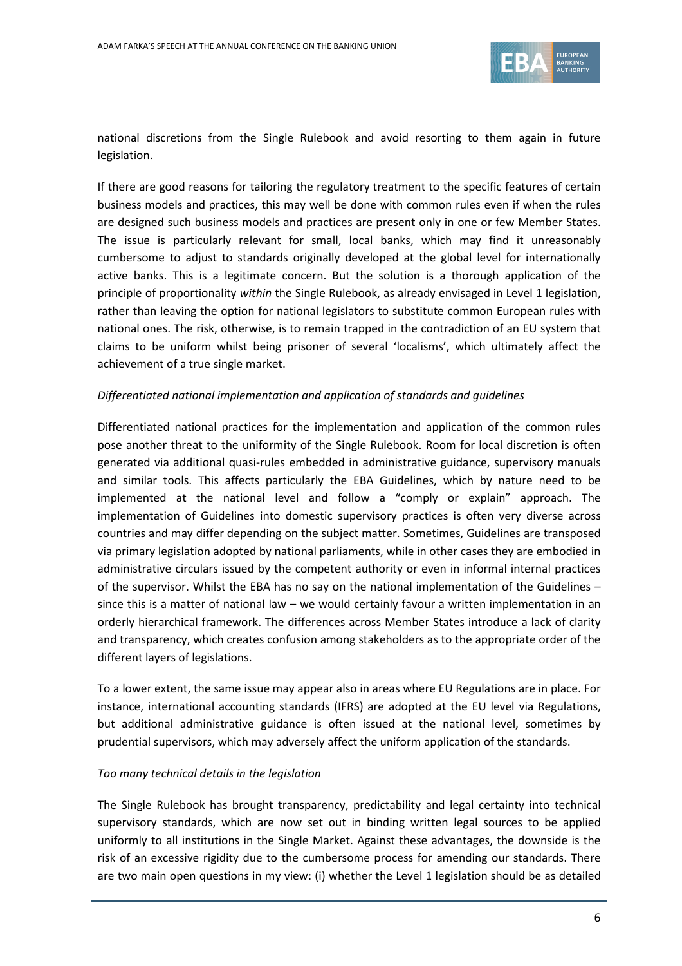

national discretions from the Single Rulebook and avoid resorting to them again in future legislation.

If there are good reasons for tailoring the regulatory treatment to the specific features of certain business models and practices, this may well be done with common rules even if when the rules are designed such business models and practices are present only in one or few Member States. The issue is particularly relevant for small, local banks, which may find it unreasonably cumbersome to adjust to standards originally developed at the global level for internationally active banks. This is a legitimate concern. But the solution is a thorough application of the principle of proportionality *within* the Single Rulebook, as already envisaged in Level 1 legislation, rather than leaving the option for national legislators to substitute common European rules with national ones. The risk, otherwise, is to remain trapped in the contradiction of an EU system that claims to be uniform whilst being prisoner of several 'localisms', which ultimately affect the achievement of a true single market.

# *Differentiated national implementation and application of standards and guidelines*

Differentiated national practices for the implementation and application of the common rules pose another threat to the uniformity of the Single Rulebook. Room for local discretion is often generated via additional quasi-rules embedded in administrative guidance, supervisory manuals and similar tools. This affects particularly the EBA Guidelines, which by nature need to be implemented at the national level and follow a "comply or explain" approach. The implementation of Guidelines into domestic supervisory practices is often very diverse across countries and may differ depending on the subject matter. Sometimes, Guidelines are transposed via primary legislation adopted by national parliaments, while in other cases they are embodied in administrative circulars issued by the competent authority or even in informal internal practices of the supervisor. Whilst the EBA has no say on the national implementation of the Guidelines – since this is a matter of national law – we would certainly favour a written implementation in an orderly hierarchical framework. The differences across Member States introduce a lack of clarity and transparency, which creates confusion among stakeholders as to the appropriate order of the different layers of legislations.

To a lower extent, the same issue may appear also in areas where EU Regulations are in place. For instance, international accounting standards (IFRS) are adopted at the EU level via Regulations, but additional administrative guidance is often issued at the national level, sometimes by prudential supervisors, which may adversely affect the uniform application of the standards.

### *Too many technical details in the legislation*

The Single Rulebook has brought transparency, predictability and legal certainty into technical supervisory standards, which are now set out in binding written legal sources to be applied uniformly to all institutions in the Single Market. Against these advantages, the downside is the risk of an excessive rigidity due to the cumbersome process for amending our standards. There are two main open questions in my view: (i) whether the Level 1 legislation should be as detailed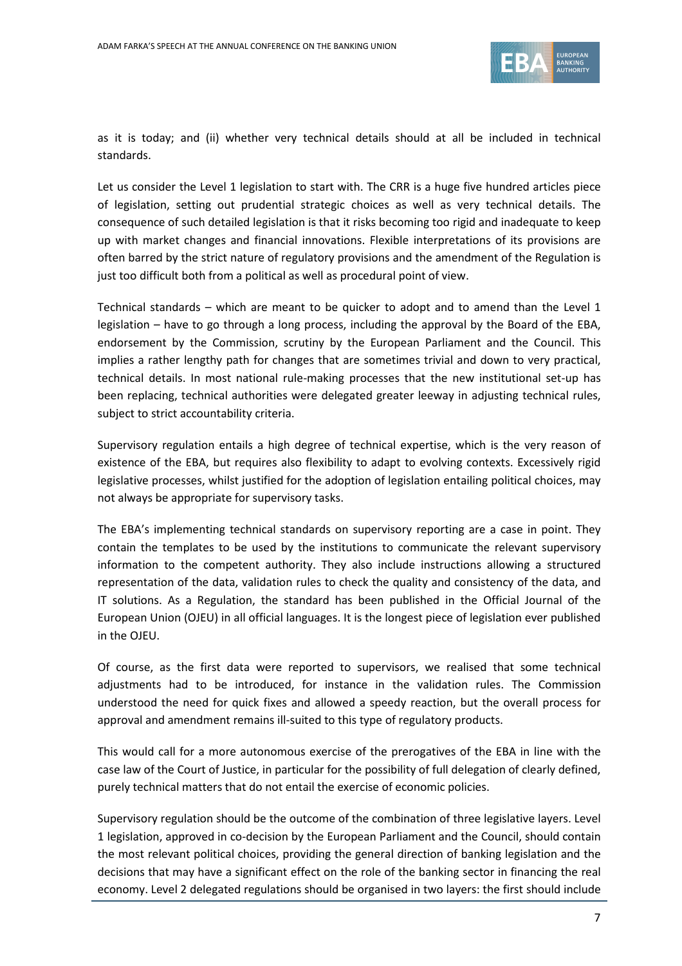

as it is today; and (ii) whether very technical details should at all be included in technical standards.

Let us consider the Level 1 legislation to start with. The CRR is a huge five hundred articles piece of legislation, setting out prudential strategic choices as well as very technical details. The consequence of such detailed legislation is that it risks becoming too rigid and inadequate to keep up with market changes and financial innovations. Flexible interpretations of its provisions are often barred by the strict nature of regulatory provisions and the amendment of the Regulation is just too difficult both from a political as well as procedural point of view.

Technical standards – which are meant to be quicker to adopt and to amend than the Level 1 legislation – have to go through a long process, including the approval by the Board of the EBA, endorsement by the Commission, scrutiny by the European Parliament and the Council. This implies a rather lengthy path for changes that are sometimes trivial and down to very practical, technical details. In most national rule-making processes that the new institutional set-up has been replacing, technical authorities were delegated greater leeway in adjusting technical rules, subject to strict accountability criteria.

Supervisory regulation entails a high degree of technical expertise, which is the very reason of existence of the EBA, but requires also flexibility to adapt to evolving contexts. Excessively rigid legislative processes, whilst justified for the adoption of legislation entailing political choices, may not always be appropriate for supervisory tasks.

The EBA's implementing technical standards on supervisory reporting are a case in point. They contain the templates to be used by the institutions to communicate the relevant supervisory information to the competent authority. They also include instructions allowing a structured representation of the data, validation rules to check the quality and consistency of the data, and IT solutions. As a Regulation, the standard has been published in the Official Journal of the European Union (OJEU) in all official languages. It is the longest piece of legislation ever published in the OJEU.

Of course, as the first data were reported to supervisors, we realised that some technical adjustments had to be introduced, for instance in the validation rules. The Commission understood the need for quick fixes and allowed a speedy reaction, but the overall process for approval and amendment remains ill-suited to this type of regulatory products.

This would call for a more autonomous exercise of the prerogatives of the EBA in line with the case law of the Court of Justice, in particular for the possibility of full delegation of clearly defined, purely technical matters that do not entail the exercise of economic policies.

Supervisory regulation should be the outcome of the combination of three legislative layers. Level 1 legislation, approved in co-decision by the European Parliament and the Council, should contain the most relevant political choices, providing the general direction of banking legislation and the decisions that may have a significant effect on the role of the banking sector in financing the real economy. Level 2 delegated regulations should be organised in two layers: the first should include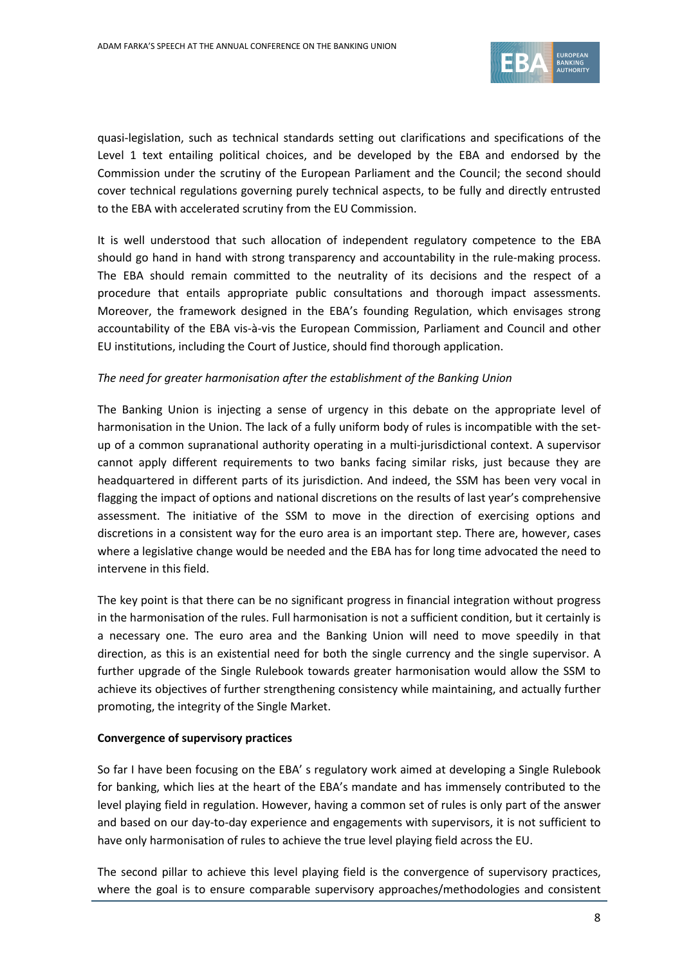

quasi-legislation, such as technical standards setting out clarifications and specifications of the Level 1 text entailing political choices, and be developed by the EBA and endorsed by the Commission under the scrutiny of the European Parliament and the Council; the second should cover technical regulations governing purely technical aspects, to be fully and directly entrusted to the EBA with accelerated scrutiny from the EU Commission.

It is well understood that such allocation of independent regulatory competence to the EBA should go hand in hand with strong transparency and accountability in the rule-making process. The EBA should remain committed to the neutrality of its decisions and the respect of a procedure that entails appropriate public consultations and thorough impact assessments. Moreover, the framework designed in the EBA's founding Regulation, which envisages strong accountability of the EBA vis-à-vis the European Commission, Parliament and Council and other EU institutions, including the Court of Justice, should find thorough application.

# *The need for greater harmonisation after the establishment of the Banking Union*

The Banking Union is injecting a sense of urgency in this debate on the appropriate level of harmonisation in the Union. The lack of a fully uniform body of rules is incompatible with the setup of a common supranational authority operating in a multi-jurisdictional context. A supervisor cannot apply different requirements to two banks facing similar risks, just because they are headquartered in different parts of its jurisdiction. And indeed, the SSM has been very vocal in flagging the impact of options and national discretions on the results of last year's comprehensive assessment. The initiative of the SSM to move in the direction of exercising options and discretions in a consistent way for the euro area is an important step. There are, however, cases where a legislative change would be needed and the EBA has for long time advocated the need to intervene in this field.

The key point is that there can be no significant progress in financial integration without progress in the harmonisation of the rules. Full harmonisation is not a sufficient condition, but it certainly is a necessary one. The euro area and the Banking Union will need to move speedily in that direction, as this is an existential need for both the single currency and the single supervisor. A further upgrade of the Single Rulebook towards greater harmonisation would allow the SSM to achieve its objectives of further strengthening consistency while maintaining, and actually further promoting, the integrity of the Single Market.

# **Convergence of supervisory practices**

So far I have been focusing on the EBA' s regulatory work aimed at developing a Single Rulebook for banking, which lies at the heart of the EBA's mandate and has immensely contributed to the level playing field in regulation. However, having a common set of rules is only part of the answer and based on our day-to-day experience and engagements with supervisors, it is not sufficient to have only harmonisation of rules to achieve the true level playing field across the EU.

The second pillar to achieve this level playing field is the convergence of supervisory practices, where the goal is to ensure comparable supervisory approaches/methodologies and consistent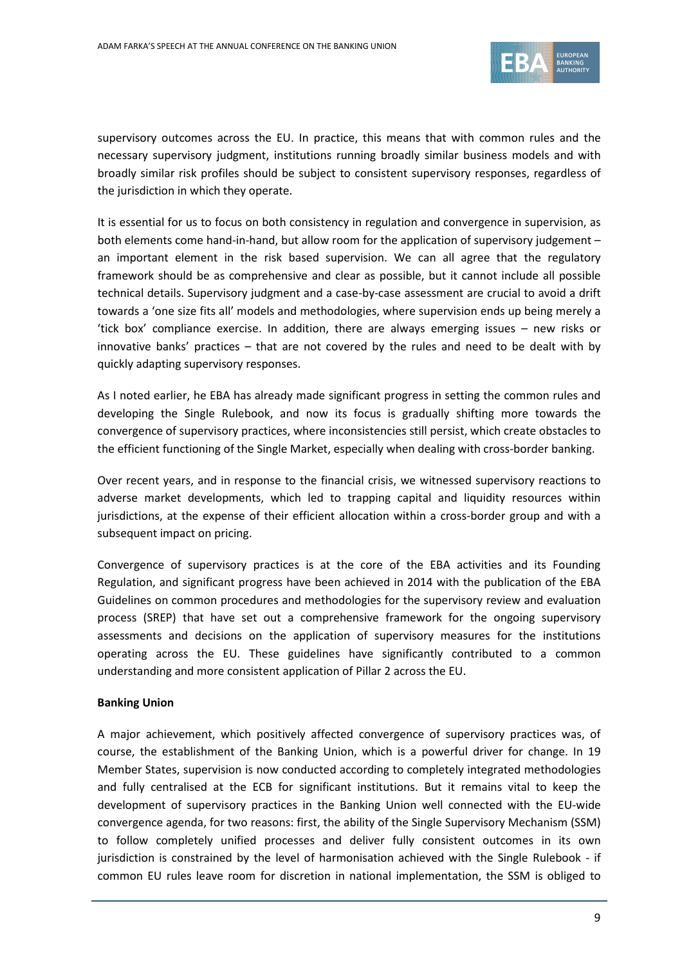

supervisory outcomes across the EU. In practice, this means that with common rules and the necessary supervisory judgment, institutions running broadly similar business models and with broadly similar risk profiles should be subject to consistent supervisory responses, regardless of the jurisdiction in which they operate.

It is essential for us to focus on both consistency in regulation and convergence in supervision, as both elements come hand-in-hand, but allow room for the application of supervisory judgement – an important element in the risk based supervision. We can all agree that the regulatory framework should be as comprehensive and clear as possible, but it cannot include all possible technical details. Supervisory judgment and a case-by-case assessment are crucial to avoid a drift towards a 'one size fits all' models and methodologies, where supervision ends up being merely a 'tick box' compliance exercise. In addition, there are always emerging issues – new risks or innovative banks' practices – that are not covered by the rules and need to be dealt with by quickly adapting supervisory responses.

As I noted earlier, he EBA has already made significant progress in setting the common rules and developing the Single Rulebook, and now its focus is gradually shifting more towards the convergence of supervisory practices, where inconsistencies still persist, which create obstacles to the efficient functioning of the Single Market, especially when dealing with cross-border banking.

Over recent years, and in response to the financial crisis, we witnessed supervisory reactions to adverse market developments, which led to trapping capital and liquidity resources within jurisdictions, at the expense of their efficient allocation within a cross-border group and with a subsequent impact on pricing.

Convergence of supervisory practices is at the core of the EBA activities and its Founding Regulation, and significant progress have been achieved in 2014 with the publication of the EBA Guidelines on common procedures and methodologies for the supervisory review and evaluation process (SREP) that have set out a comprehensive framework for the ongoing supervisory assessments and decisions on the application of supervisory measures for the institutions operating across the EU. These guidelines have significantly contributed to a common understanding and more consistent application of Pillar 2 across the EU.

# **Banking Union**

A major achievement, which positively affected convergence of supervisory practices was, of course, the establishment of the Banking Union, which is a powerful driver for change. In 19 Member States, supervision is now conducted according to completely integrated methodologies and fully centralised at the ECB for significant institutions. But it remains vital to keep the development of supervisory practices in the Banking Union well connected with the EU-wide convergence agenda, for two reasons: first, the ability of the Single Supervisory Mechanism (SSM) to follow completely unified processes and deliver fully consistent outcomes in its own jurisdiction is constrained by the level of harmonisation achieved with the Single Rulebook - if common EU rules leave room for discretion in national implementation, the SSM is obliged to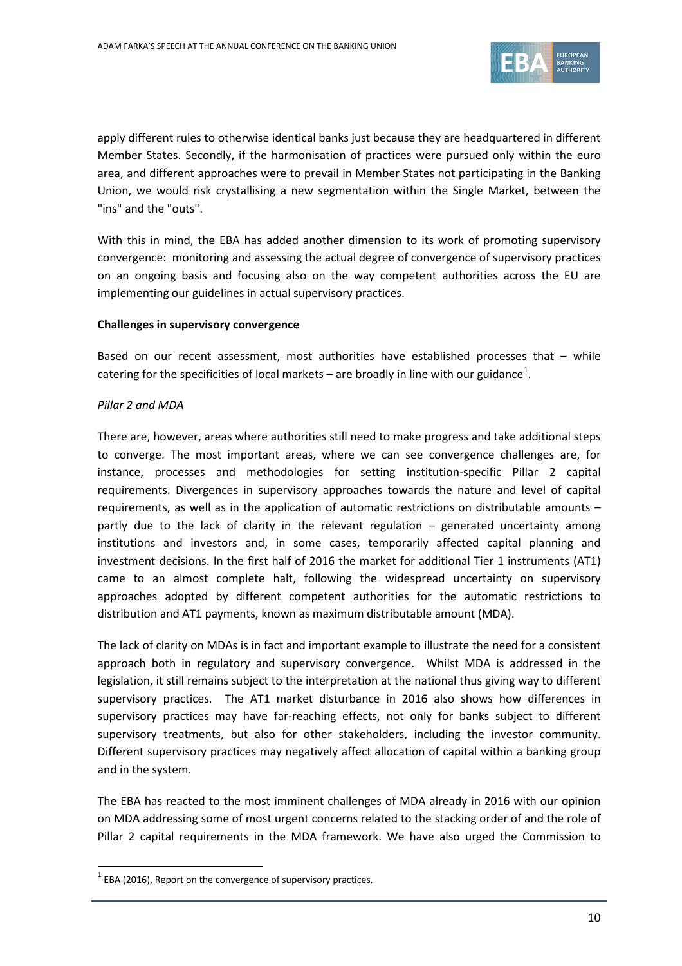

apply different rules to otherwise identical banks just because they are headquartered in different Member States. Secondly, if the harmonisation of practices were pursued only within the euro area, and different approaches were to prevail in Member States not participating in the Banking Union, we would risk crystallising a new segmentation within the Single Market, between the "ins" and the "outs".

With this in mind, the EBA has added another dimension to its work of promoting supervisory convergence: monitoring and assessing the actual degree of convergence of supervisory practices on an ongoing basis and focusing also on the way competent authorities across the EU are implementing our guidelines in actual supervisory practices.

# **Challenges in supervisory convergence**

Based on our recent assessment, most authorities have established processes that – while catering for the specificities of local markets – are broadly in line with our guidance<sup>[1](#page-9-0)</sup>.

# *Pillar 2 and MDA*

 $\overline{a}$ 

There are, however, areas where authorities still need to make progress and take additional steps to converge. The most important areas, where we can see convergence challenges are, for instance, processes and methodologies for setting institution-specific Pillar 2 capital requirements. Divergences in supervisory approaches towards the nature and level of capital requirements, as well as in the application of automatic restrictions on distributable amounts – partly due to the lack of clarity in the relevant regulation – generated uncertainty among institutions and investors and, in some cases, temporarily affected capital planning and investment decisions. In the first half of 2016 the market for additional Tier 1 instruments (AT1) came to an almost complete halt, following the widespread uncertainty on supervisory approaches adopted by different competent authorities for the automatic restrictions to distribution and AT1 payments, known as maximum distributable amount (MDA).

The lack of clarity on MDAs is in fact and important example to illustrate the need for a consistent approach both in regulatory and supervisory convergence. Whilst MDA is addressed in the legislation, it still remains subject to the interpretation at the national thus giving way to different supervisory practices. The AT1 market disturbance in 2016 also shows how differences in supervisory practices may have far-reaching effects, not only for banks subject to different supervisory treatments, but also for other stakeholders, including the investor community. Different supervisory practices may negatively affect allocation of capital within a banking group and in the system.

The EBA has reacted to the most imminent challenges of MDA already in 2016 with our opinion on MDA addressing some of most urgent concerns related to the stacking order of and the role of Pillar 2 capital requirements in the MDA framework. We have also urged the Commission to

<span id="page-9-0"></span> $1$  EBA (2016), Report on the convergence of supervisory practices.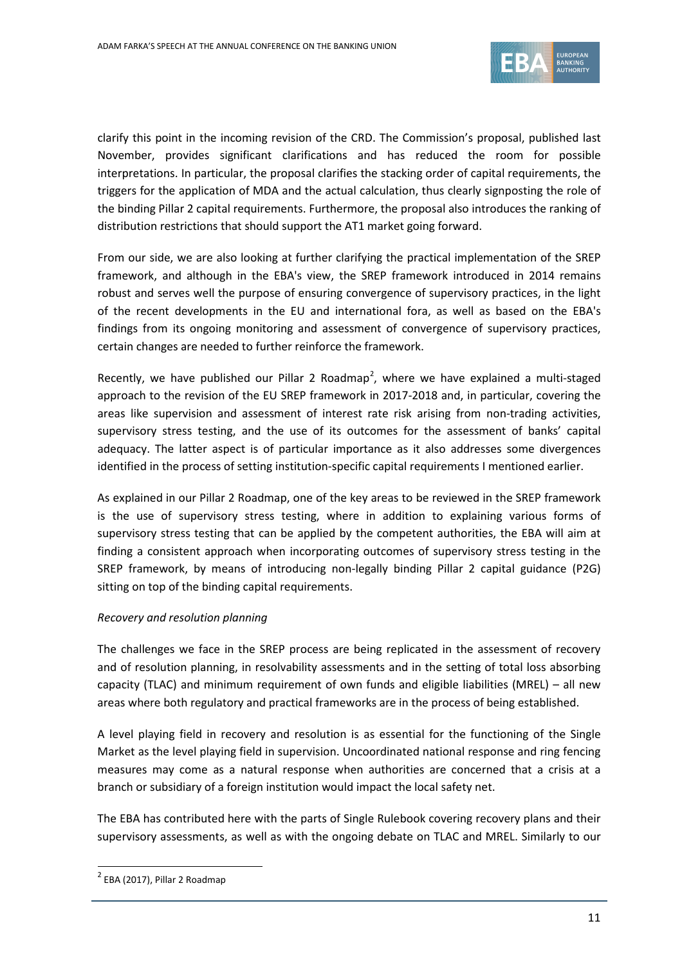

clarify this point in the incoming revision of the CRD. The Commission's proposal, published last November, provides significant clarifications and has reduced the room for possible interpretations. In particular, the proposal clarifies the stacking order of capital requirements, the triggers for the application of MDA and the actual calculation, thus clearly signposting the role of the binding Pillar 2 capital requirements. Furthermore, the proposal also introduces the ranking of distribution restrictions that should support the AT1 market going forward.

From our side, we are also looking at further clarifying the practical implementation of the SREP framework, and although in the EBA's view, the SREP framework introduced in 2014 remains robust and serves well the purpose of ensuring convergence of supervisory practices, in the light of the recent developments in the EU and international fora, as well as based on the EBA's findings from its ongoing monitoring and assessment of convergence of supervisory practices, certain changes are needed to further reinforce the framework.

Recently, we have published our Pillar [2](#page-10-0) Roadmap<sup>2</sup>, where we have explained a multi-staged approach to the revision of the EU SREP framework in 2017-2018 and, in particular, covering the areas like supervision and assessment of interest rate risk arising from non-trading activities, supervisory stress testing, and the use of its outcomes for the assessment of banks' capital adequacy. The latter aspect is of particular importance as it also addresses some divergences identified in the process of setting institution-specific capital requirements I mentioned earlier.

As explained in our Pillar 2 Roadmap, one of the key areas to be reviewed in the SREP framework is the use of supervisory stress testing, where in addition to explaining various forms of supervisory stress testing that can be applied by the competent authorities, the EBA will aim at finding a consistent approach when incorporating outcomes of supervisory stress testing in the SREP framework, by means of introducing non-legally binding Pillar 2 capital guidance (P2G) sitting on top of the binding capital requirements.

# *Recovery and resolution planning*

The challenges we face in the SREP process are being replicated in the assessment of recovery and of resolution planning, in resolvability assessments and in the setting of total loss absorbing capacity (TLAC) and minimum requirement of own funds and eligible liabilities (MREL) – all new areas where both regulatory and practical frameworks are in the process of being established.

A level playing field in recovery and resolution is as essential for the functioning of the Single Market as the level playing field in supervision. Uncoordinated national response and ring fencing measures may come as a natural response when authorities are concerned that a crisis at a branch or subsidiary of a foreign institution would impact the local safety net.

The EBA has contributed here with the parts of Single Rulebook covering recovery plans and their supervisory assessments, as well as with the ongoing debate on TLAC and MREL. Similarly to our

 $\overline{a}$ 

<span id="page-10-0"></span> $<sup>2</sup>$  EBA (2017), Pillar 2 Roadmap</sup>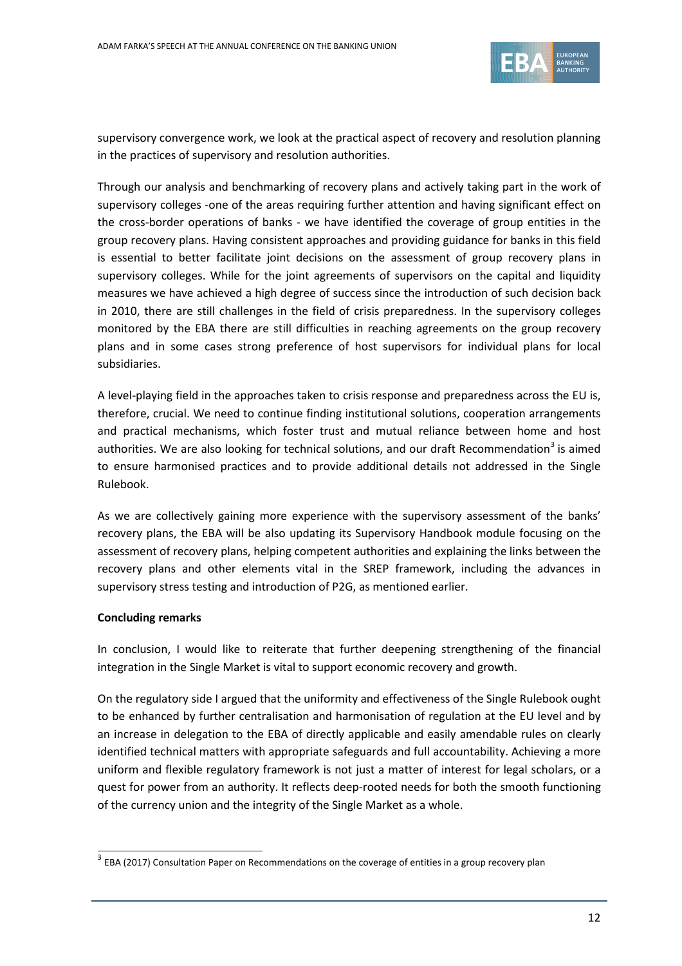

supervisory convergence work, we look at the practical aspect of recovery and resolution planning in the practices of supervisory and resolution authorities.

Through our analysis and benchmarking of recovery plans and actively taking part in the work of supervisory colleges -one of the areas requiring further attention and having significant effect on the cross-border operations of banks - we have identified the coverage of group entities in the group recovery plans. Having consistent approaches and providing guidance for banks in this field is essential to better facilitate joint decisions on the assessment of group recovery plans in supervisory colleges. While for the joint agreements of supervisors on the capital and liquidity measures we have achieved a high degree of success since the introduction of such decision back in 2010, there are still challenges in the field of crisis preparedness. In the supervisory colleges monitored by the EBA there are still difficulties in reaching agreements on the group recovery plans and in some cases strong preference of host supervisors for individual plans for local subsidiaries.

A level-playing field in the approaches taken to crisis response and preparedness across the EU is, therefore, crucial. We need to continue finding institutional solutions, cooperation arrangements and practical mechanisms, which foster trust and mutual reliance between home and host authorities. We are also looking for technical solutions, and our draft Recommendation<sup>[3](#page-11-0)</sup> is aimed to ensure harmonised practices and to provide additional details not addressed in the Single Rulebook.

As we are collectively gaining more experience with the supervisory assessment of the banks' recovery plans, the EBA will be also updating its Supervisory Handbook module focusing on the assessment of recovery plans, helping competent authorities and explaining the links between the recovery plans and other elements vital in the SREP framework, including the advances in supervisory stress testing and introduction of P2G, as mentioned earlier.

# **Concluding remarks**

In conclusion, I would like to reiterate that further deepening strengthening of the financial integration in the Single Market is vital to support economic recovery and growth.

On the regulatory side I argued that the uniformity and effectiveness of the Single Rulebook ought to be enhanced by further centralisation and harmonisation of regulation at the EU level and by an increase in delegation to the EBA of directly applicable and easily amendable rules on clearly identified technical matters with appropriate safeguards and full accountability. Achieving a more uniform and flexible regulatory framework is not just a matter of interest for legal scholars, or a quest for power from an authority. It reflects deep-rooted needs for both the smooth functioning of the currency union and the integrity of the Single Market as a whole.

<span id="page-11-0"></span> $\frac{3}{3}$  EBA (2017) Consultation Paper on Recommendations on the coverage of entities in a group recovery plan